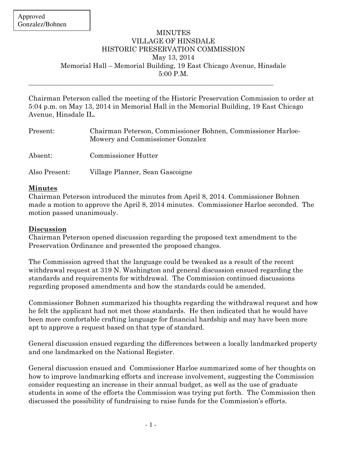## MINUTES VILLAGE OF HINSDALE HISTORIC PRESERVATION COMMISSION May 13, 2014 Memorial Hall – Memorial Building, 19 East Chicago Avenue, Hinsdale 5:00 P.M.

Chairman Peterson called the meeting of the Historic Preservation Commission to order at 5:04 p.m. on May 13, 2014 in Memorial Hall in the Memorial Building, 19 East Chicago Avenue, Hinsdale IL.

| Present:      | Chairman Peterson, Commissioner Bohnen, Commissioner Harloe-<br>Mowery and Commissioner Gonzalez |
|---------------|--------------------------------------------------------------------------------------------------|
| Absent:       | Commissioner Hutter                                                                              |
| Also Present: | Village Planner, Sean Gascoigne                                                                  |

## **Minutes**

Chairman Peterson introduced the minutes from April 8, 2014. Commissioner Bohnen made a motion to approve the April 8, 2014 minutes. Commissioner Harloe seconded. The motion passed unanimously.

## **Discussion**

Chairman Peterson opened discussion regarding the proposed text amendment to the Preservation Ordinance and presented the proposed changes.

The Commission agreed that the language could be tweaked as a result of the recent withdrawal request at 319 N. Washington and general discussion ensued regarding the standards and requirements for withdrawal. The Commission continued discussions regarding proposed amendments and how the standards could be amended.

Commissioner Bohnen summarized his thoughts regarding the withdrawal request and how he felt the applicant had not met those standards. He then indicated that he would have been more comfortable crafting language for financial hardship and may have been more apt to approve a request based on that type of standard.

General discussion ensued regarding the differences between a locally landmarked property and one landmarked on the National Register.

General discussion ensued and Commissioner Harloe summarized some of her thoughts on how to improve landmarking efforts and increase involvement, suggesting the Commission consider requesting an increase in their annual budget, as well as the use of graduate students in some of the efforts the Commission was trying put forth. The Commission then discussed the possibility of fundraising to raise funds for the Commission's efforts.